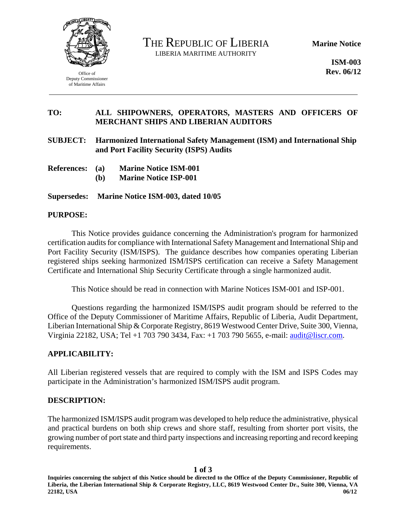

Office of Deputy Commissioner of Maritime Affairs

THE REPUBLIC OF LIBERIA LIBERIA MARITIME AUTHORITY

**Marine Notice** 

**ISM-003 Rev. 06/12** 

## **TO: ALL SHIPOWNERS, OPERATORS, MASTERS AND OFFICERS OF MERCHANT SHIPS AND LIBERIAN AUDITORS**

**SUBJECT: Harmonized International Safety Management (ISM) and International Ship and Port Facility Security (ISPS) Audits** 

- **References: (a) Marine Notice ISM-001** 
	- **(b) Marine Notice ISP-001**

**Supersedes: Marine Notice ISM-003, dated 10/05** 

#### **PURPOSE:**

This Notice provides guidance concerning the Administration's program for harmonized certification audits for compliance with International Safety Management and International Ship and Port Facility Security (ISM/ISPS). The guidance describes how companies operating Liberian registered ships seeking harmonized ISM/ISPS certification can receive a Safety Management Certificate and International Ship Security Certificate through a single harmonized audit.

This Notice should be read in connection with Marine Notices ISM-001 and ISP-001.

Questions regarding the harmonized ISM/ISPS audit program should be referred to the Office of the Deputy Commissioner of Maritime Affairs, Republic of Liberia, Audit Department, Liberian International Ship & Corporate Registry, 8619 Westwood Center Drive, Suite 300, Vienna, Virginia 22182, USA; Tel +1 703 790 3434, Fax: +1 703 790 5655, e-mail: audit@liscr.com.

#### **APPLICABILITY:**

All Liberian registered vessels that are required to comply with the ISM and ISPS Codes may participate in the Administration's harmonized ISM/ISPS audit program.

### **DESCRIPTION:**

The harmonized ISM/ISPS audit program was developed to help reduce the administrative, physical and practical burdens on both ship crews and shore staff, resulting from shorter port visits, the growing number of port state and third party inspections and increasing reporting and record keeping requirements.

**1 of 3** 

**Inquiries concerning the subject of this Notice should be directed to the Office of the Deputy Commissioner, Republic of Liberia, the Liberian International Ship & Corporate Registry, LLC, 8619 Westwood Center Dr., Suite 300, Vienna, VA 22182, USA 06/12**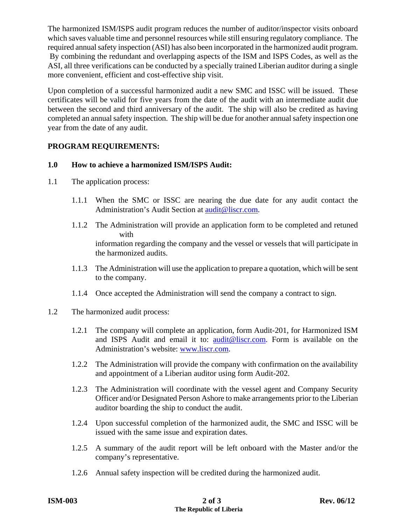The harmonized ISM/ISPS audit program reduces the number of auditor/inspector visits onboard which saves valuable time and personnel resources while still ensuring regulatory compliance. The required annual safety inspection (ASI) has also been incorporated in the harmonized audit program. By combining the redundant and overlapping aspects of the ISM and ISPS Codes, as well as the ASI, all three verifications can be conducted by a specially trained Liberian auditor during a single more convenient, efficient and cost-effective ship visit.

Upon completion of a successful harmonized audit a new SMC and ISSC will be issued. These certificates will be valid for five years from the date of the audit with an intermediate audit due between the second and third anniversary of the audit. The ship will also be credited as having completed an annual safety inspection. The ship will be due for another annual safety inspection one year from the date of any audit.

# **PROGRAM REQUIREMENTS:**

# **1.0 How to achieve a harmonized ISM/ISPS Audit:**

- 1.1 The application process:
	- 1.1.1 When the SMC or ISSC are nearing the due date for any audit contact the Administration's Audit Section at audit@liscr.com.
	- 1.1.2 The Administration will provide an application form to be completed and retuned with information regarding the company and the vessel or vessels that will participate in the harmonized audits.
	- 1.1.3 The Administration will use the application to prepare a quotation, which will be sent to the company.
	- 1.1.4 Once accepted the Administration will send the company a contract to sign.
- 1.2 The harmonized audit process:
	- 1.2.1 The company will complete an application, form Audit-201, for Harmonized ISM and ISPS Audit and email it to: audit@liscr.com. Form is available on the Administration's website: www.liscr.com.
	- 1.2.2 The Administration will provide the company with confirmation on the availability and appointment of a Liberian auditor using form Audit-202.
	- 1.2.3 The Administration will coordinate with the vessel agent and Company Security Officer and/or Designated Person Ashore to make arrangements prior to the Liberian auditor boarding the ship to conduct the audit.
	- 1.2.4 Upon successful completion of the harmonized audit, the SMC and ISSC will be issued with the same issue and expiration dates.
	- 1.2.5 A summary of the audit report will be left onboard with the Master and/or the company's representative.
	- 1.2.6 Annual safety inspection will be credited during the harmonized audit.

| <b>ISM-003</b> |
|----------------|
|----------------|